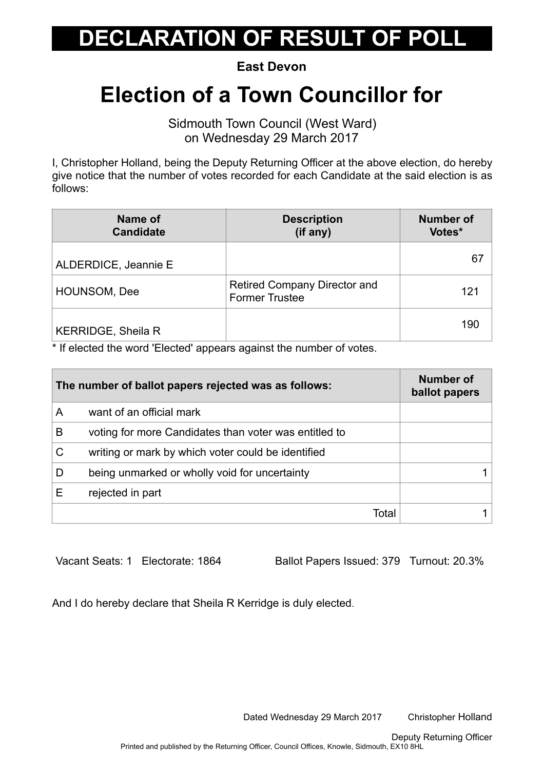## **ECLARATION OF RESULT OF POLL**

**East Devon** 

## **Election of a Town Councillor for**

Sidmouth Town Council (West Ward) on Wednesday 29 March 2017

I, Christopher Holland, being the Deputy Returning Officer at the above election, do hereby give notice that the number of votes recorded for each Candidate at the said election is as follows:

| Name of<br><b>Candidate</b> | <b>Description</b><br>(if any)                               | <b>Number of</b><br>Votes* |
|-----------------------------|--------------------------------------------------------------|----------------------------|
| ALDERDICE, Jeannie E        |                                                              | 67                         |
| <b>HOUNSOM, Dee</b>         | <b>Retired Company Director and</b><br><b>Former Trustee</b> | 121                        |
| <b>KERRIDGE, Sheila R</b>   |                                                              | 190                        |

\* If elected the word 'Elected' appears against the number of votes.

| The number of ballot papers rejected was as follows: |                                                       | <b>Number of</b><br>ballot papers |
|------------------------------------------------------|-------------------------------------------------------|-----------------------------------|
| A                                                    | want of an official mark                              |                                   |
| B                                                    | voting for more Candidates than voter was entitled to |                                   |
| C                                                    | writing or mark by which voter could be identified    |                                   |
| D                                                    | being unmarked or wholly void for uncertainty         |                                   |
| Е                                                    | rejected in part                                      |                                   |
|                                                      | Total                                                 |                                   |

Vacant Seats: 1 Electorate: 1864 Ballot Papers Issued: 379 Turnout: 20.3%

And I do hereby declare that Sheila R Kerridge is duly elected.

Dated Wednesday 29 March 2017 Christopher Holland